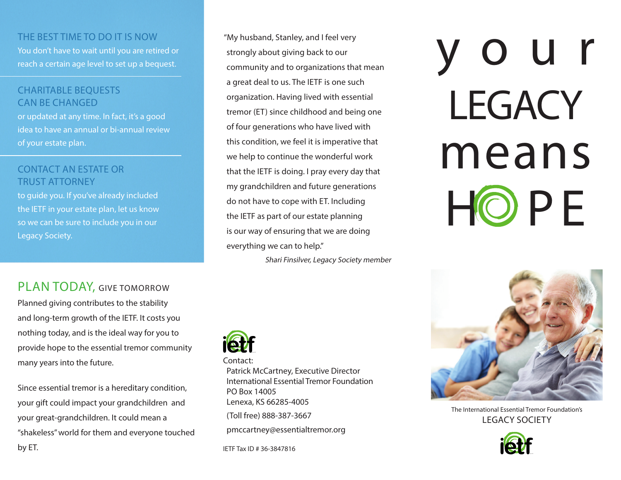### THE BEST TIME TO DO IT IS NOW

You don't have to wait until you are retired or reach a certain age level to set up a bequest.

## CHARITABLE BEQUESTS CAN BE CHANGED

or updated at any time. In fact, it's a good idea to have an annual or bi-annual review of your estate plan.

## CONTACT AN ESTATE OR TRUST ATTORNEY

to guide you. If you've already included the IETF in your estate plan, let us know so we can be sure to include you in our Legacy Society.

## PLAN TODAY, GIVE TOMORROW

Planned giving contributes to the stability and long-term growth of the IETF. It costs you nothing today, and is the ideal way for you to provide hope to the essential tremor community many years into the future.

Since essential tremor is a hereditary condition, your gift could impact your grandchildren and your great-grandchildren. It could mean a "shakeless" world for them and everyone touched by ET.

"My husband, Stanley, and I feel very strongly about giving back to our community and to organizations that mean a great deal to us. The IETF is one such organization. Having lived with essential tremor (ET) since childhood and being one of four generations who have lived with this condition, we feel it is imperative that we help to continue the wonderful work that the IETF is doing. I pray every day that my grandchildren and future generations do not have to cope with ET. Including the IETF as part of our estate planning is our way of ensuring that we are doing everything we can to help."

Shari Finsilver, Legacy Society member



#### Contact:

Patrick McCartney, Executive Director International Essential Tremor Foundation PO Box 14005 Lenexa, KS 66285-4005 (Toll free) 888-387-3667 pmccartney@essentialtremor.org

IETF Tax ID # 36-3847816

# your **LEGACY** means HO P F



The International Essential Tremor Foundation's LEGACY SOCIETY